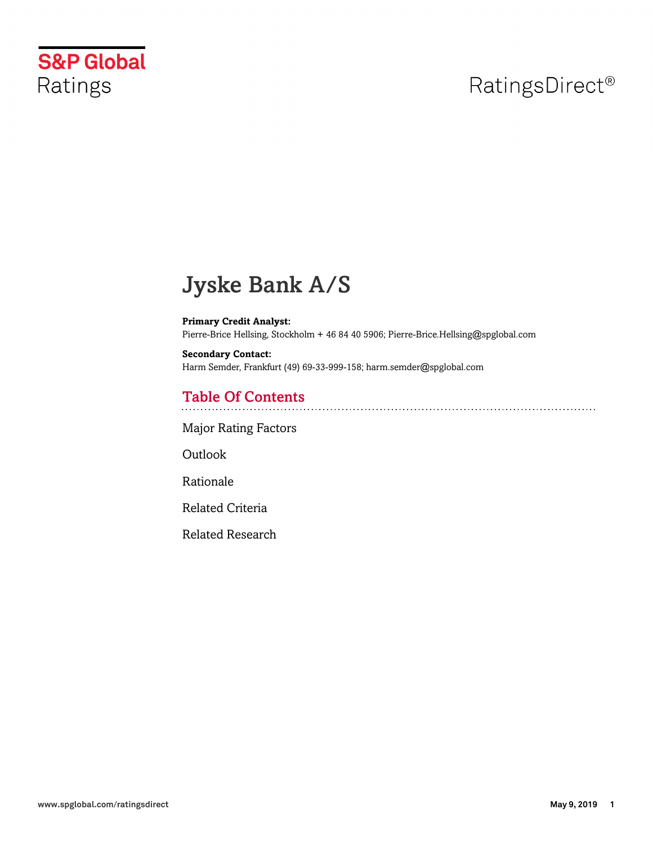# RatingsDirect<sup>®</sup>

# **S&P Global** Ratings

# Jyske Bank A/S

# **Primary Credit Analyst:** Pierre-Brice Hellsing, Stockholm + 46 84 40 5906; Pierre-Brice.Hellsing@spglobal.com

**Secondary Contact:** Harm Semder, Frankfurt (49) 69-33-999-158; harm.semder@spglobal.com

# Table Of Contents

[Major Rating Factors](#page-1-0)

Outlook

[Rationale](#page-2-0)

[Related Criteria](#page-11-0)

[Related Research](#page-12-0)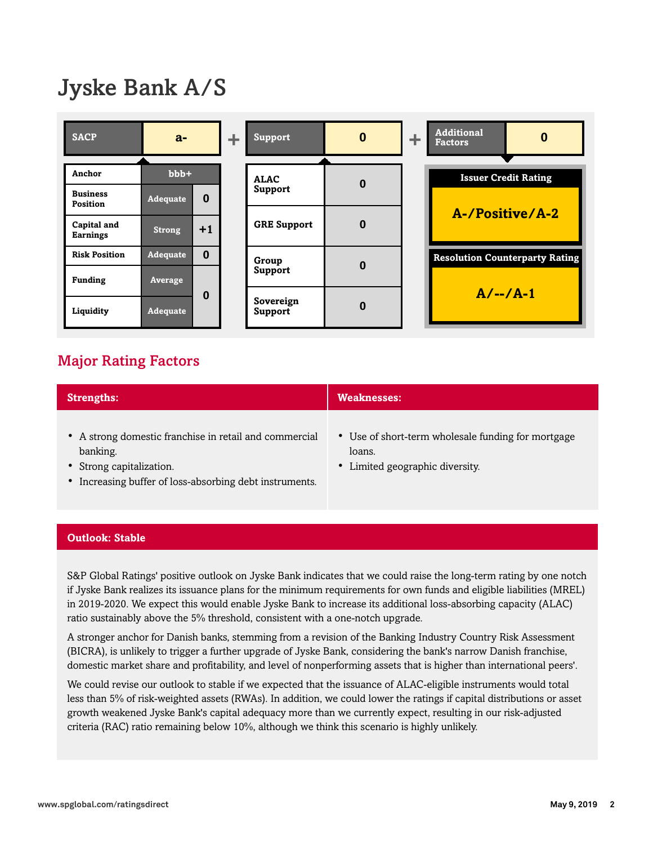# Jyske Bank A/S



# <span id="page-1-0"></span>Major Rating Factors

| <b>Strengths:</b>                                                                                                                                         | <b>Weaknesses:</b>                                                                              |  |  |  |  |  |
|-----------------------------------------------------------------------------------------------------------------------------------------------------------|-------------------------------------------------------------------------------------------------|--|--|--|--|--|
| • A strong domestic franchise in retail and commercial<br>banking.<br>• Strong capitalization.<br>• Increasing buffer of loss-absorbing debt instruments. | • Use of short-term wholesale funding for mortgage<br>loans.<br>• Limited geographic diversity. |  |  |  |  |  |

## **Outlook: Stable**

S&P Global Ratings' positive outlook on Jyske Bank indicates that we could raise the long-term rating by one notch if Jyske Bank realizes its issuance plans for the minimum requirements for own funds and eligible liabilities (MREL) in 2019-2020. We expect this would enable Jyske Bank to increase its additional loss-absorbing capacity (ALAC) ratio sustainably above the 5% threshold, consistent with a one-notch upgrade.

A stronger anchor for Danish banks, stemming from a revision of the Banking Industry Country Risk Assessment (BICRA), is unlikely to trigger a further upgrade of Jyske Bank, considering the bank's narrow Danish franchise, domestic market share and profitability, and level of nonperforming assets that is higher than international peers'.

We could revise our outlook to stable if we expected that the issuance of ALAC-eligible instruments would total less than 5% of risk-weighted assets (RWAs). In addition, we could lower the ratings if capital distributions or asset growth weakened Jyske Bank's capital adequacy more than we currently expect, resulting in our risk-adjusted criteria (RAC) ratio remaining below 10%, although we think this scenario is highly unlikely.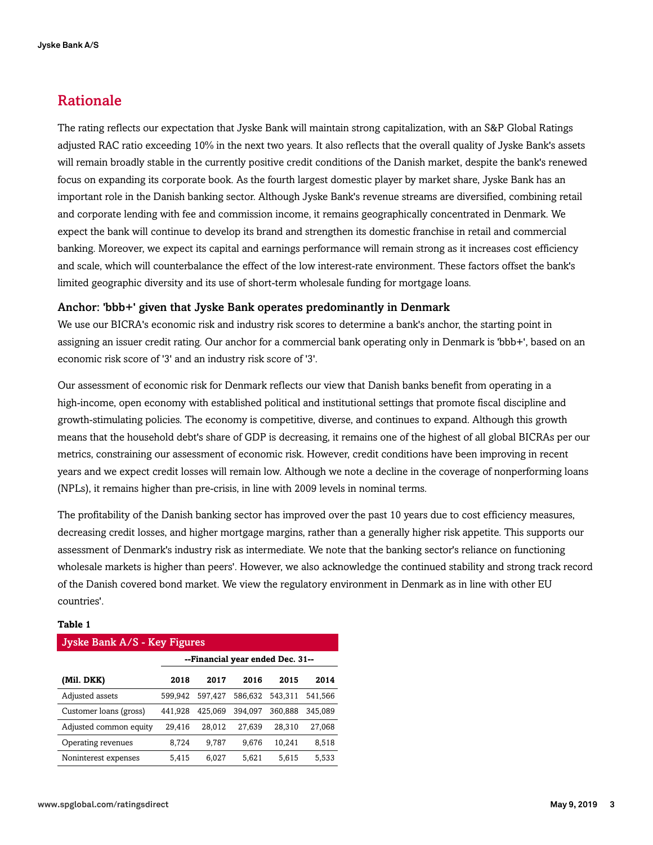# <span id="page-2-0"></span>Rationale

The rating reflects our expectation that Jyske Bank will maintain strong capitalization, with an S&P Global Ratings adjusted RAC ratio exceeding 10% in the next two years. It also reflects that the overall quality of Jyske Bank's assets will remain broadly stable in the currently positive credit conditions of the Danish market, despite the bank's renewed focus on expanding its corporate book. As the fourth largest domestic player by market share, Jyske Bank has an important role in the Danish banking sector. Although Jyske Bank's revenue streams are diversified, combining retail and corporate lending with fee and commission income, it remains geographically concentrated in Denmark. We expect the bank will continue to develop its brand and strengthen its domestic franchise in retail and commercial banking. Moreover, we expect its capital and earnings performance will remain strong as it increases cost efficiency and scale, which will counterbalance the effect of the low interest-rate environment. These factors offset the bank's limited geographic diversity and its use of short-term wholesale funding for mortgage loans.

### Anchor: 'bbb+' given that Jyske Bank operates predominantly in Denmark

We use our BICRA's economic risk and industry risk scores to determine a bank's anchor, the starting point in assigning an issuer credit rating. Our anchor for a commercial bank operating only in Denmark is 'bbb+', based on an economic risk score of '3' and an industry risk score of '3'.

Our assessment of economic risk for Denmark reflects our view that Danish banks benefit from operating in a high-income, open economy with established political and institutional settings that promote fiscal discipline and growth-stimulating policies. The economy is competitive, diverse, and continues to expand. Although this growth means that the household debt's share of GDP is decreasing, it remains one of the highest of all global BICRAs per our metrics, constraining our assessment of economic risk. However, credit conditions have been improving in recent years and we expect credit losses will remain low. Although we note a decline in the coverage of nonperforming loans (NPLs), it remains higher than pre-crisis, in line with 2009 levels in nominal terms.

The profitability of the Danish banking sector has improved over the past 10 years due to cost efficiency measures, decreasing credit losses, and higher mortgage margins, rather than a generally higher risk appetite. This supports our assessment of Denmark's industry risk as intermediate. We note that the banking sector's reliance on functioning wholesale markets is higher than peers'. However, we also acknowledge the continued stability and strong track record of the Danish covered bond market. We view the regulatory environment in Denmark as in line with other EU countries'.

#### **Table 1**

| <b>Jyske Bank A/S - Key Figures</b> |                                  |         |         |         |         |  |  |  |  |
|-------------------------------------|----------------------------------|---------|---------|---------|---------|--|--|--|--|
|                                     | --Financial year ended Dec. 31-- |         |         |         |         |  |  |  |  |
| (Mil. DKK)                          | 2018                             | 2017    | 2016    | 2015    | 2014    |  |  |  |  |
| Adjusted assets                     | 599.942                          | 597.427 | 586,632 | 543,311 | 541.566 |  |  |  |  |
| Customer loans (gross)              | 441.928                          | 425,069 | 394.097 | 360,888 | 345.089 |  |  |  |  |
| Adjusted common equity              | 29.416                           | 28,012  | 27,639  | 28,310  | 27.068  |  |  |  |  |
| Operating revenues                  | 8,724                            | 9,787   | 9,676   | 10,241  | 8,518   |  |  |  |  |
| Noninterest expenses                | 5,415                            | 6.027   | 5.621   | 5,615   | 5,533   |  |  |  |  |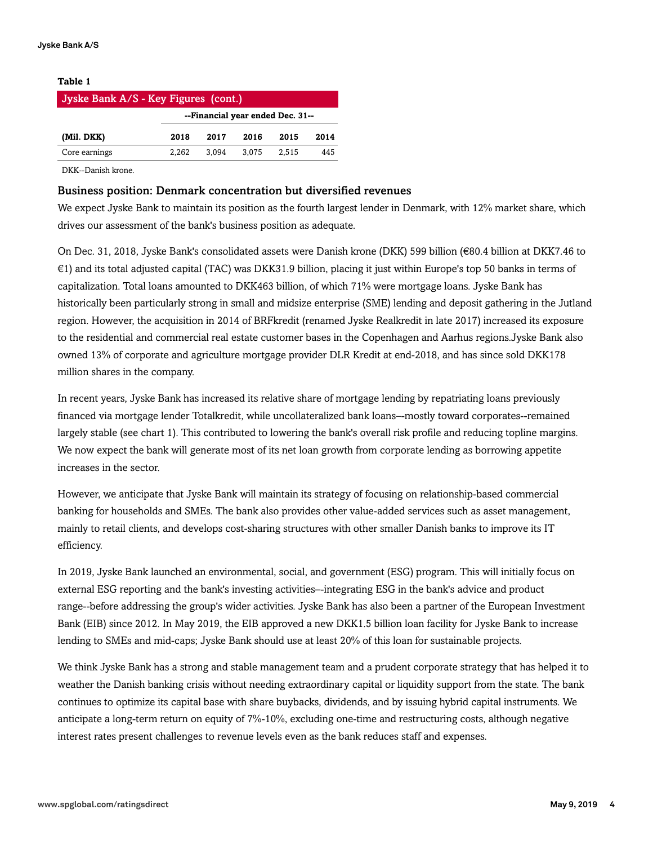### **Table 1**

| Jyske Bank A/S - Key Figures (cont.) |                                  |       |       |       |      |  |  |  |
|--------------------------------------|----------------------------------|-------|-------|-------|------|--|--|--|
|                                      | --Financial year ended Dec. 31-- |       |       |       |      |  |  |  |
| (Mil. DKK)                           | 2018                             | 2017  | 2016  | 2015  | 2014 |  |  |  |
| Core earnings                        | 2.262                            | 3.094 | 3.075 | 2.515 | 445  |  |  |  |

DKK--Danish krone.

### Business position: Denmark concentration but diversified revenues

We expect Jyske Bank to maintain its position as the fourth largest lender in Denmark, with 12% market share, which drives our assessment of the bank's business position as adequate.

On Dec. 31, 2018, Jyske Bank's consolidated assets were Danish krone (DKK) 599 billion (€80.4 billion at DKK7.46 to €1) and its total adjusted capital (TAC) was DKK31.9 billion, placing it just within Europe's top 50 banks in terms of capitalization. Total loans amounted to DKK463 billion, of which 71% were mortgage loans. Jyske Bank has historically been particularly strong in small and midsize enterprise (SME) lending and deposit gathering in the Jutland region. However, the acquisition in 2014 of BRFkredit (renamed Jyske Realkredit in late 2017) increased its exposure to the residential and commercial real estate customer bases in the Copenhagen and Aarhus regions.Jyske Bank also owned 13% of corporate and agriculture mortgage provider DLR Kredit at end-2018, and has since sold DKK178 million shares in the company.

In recent years, Jyske Bank has increased its relative share of mortgage lending by repatriating loans previously financed via mortgage lender Totalkredit, while uncollateralized bank loans–-mostly toward corporates--remained largely stable (see chart 1). This contributed to lowering the bank's overall risk profile and reducing topline margins. We now expect the bank will generate most of its net loan growth from corporate lending as borrowing appetite increases in the sector.

However, we anticipate that Jyske Bank will maintain its strategy of focusing on relationship-based commercial banking for households and SMEs. The bank also provides other value-added services such as asset management, mainly to retail clients, and develops cost-sharing structures with other smaller Danish banks to improve its IT efficiency.

In 2019, Jyske Bank launched an environmental, social, and government (ESG) program. This will initially focus on external ESG reporting and the bank's investing activities–-integrating ESG in the bank's advice and product range--before addressing the group's wider activities. Jyske Bank has also been a partner of the European Investment Bank (EIB) since 2012. In May 2019, the EIB approved a new DKK1.5 billion loan facility for Jyske Bank to increase lending to SMEs and mid-caps; Jyske Bank should use at least 20% of this loan for sustainable projects.

We think Jyske Bank has a strong and stable management team and a prudent corporate strategy that has helped it to weather the Danish banking crisis without needing extraordinary capital or liquidity support from the state. The bank continues to optimize its capital base with share buybacks, dividends, and by issuing hybrid capital instruments. We anticipate a long-term return on equity of 7%-10%, excluding one-time and restructuring costs, although negative interest rates present challenges to revenue levels even as the bank reduces staff and expenses.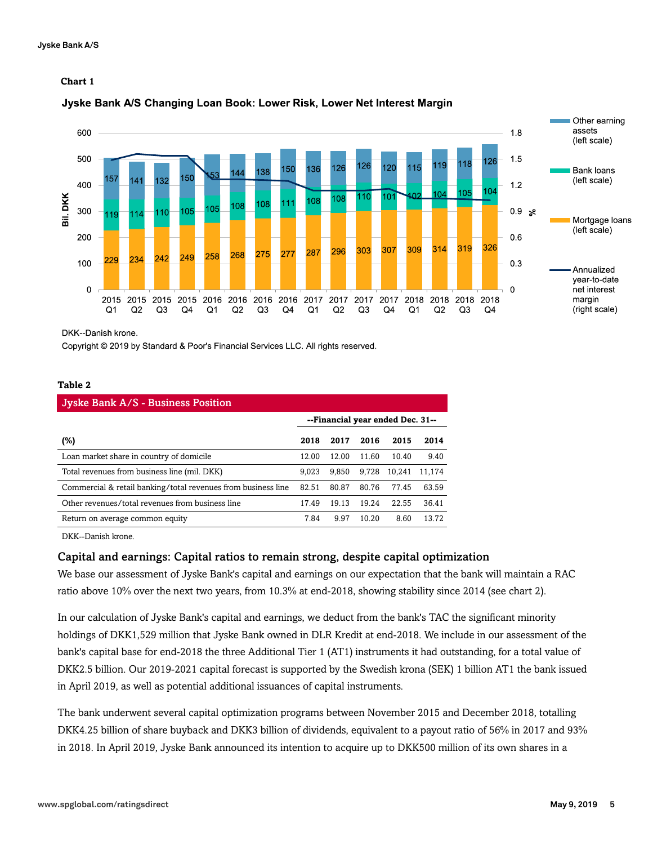### **Chart 1**





DKK--Danish krone.

Copyright © 2019 by Standard & Poor's Financial Services LLC. All rights reserved.

#### **Table 2**

| <b>Jyske Bank A/S - Business Position</b>                     |       |                                  |       |        |        |  |  |  |  |
|---------------------------------------------------------------|-------|----------------------------------|-------|--------|--------|--|--|--|--|
|                                                               |       | --Financial year ended Dec. 31-- |       |        |        |  |  |  |  |
| $(\%)$                                                        | 2018  | 2017                             | 2016  | 2015   | 2014   |  |  |  |  |
| Loan market share in country of domicile                      | 12.00 | 12.00                            | 11.60 | 10.40  | 9.40   |  |  |  |  |
| Total revenues from business line (mil. DKK)                  | 9.023 | 9.850                            | 9.728 | 10.241 | 11,174 |  |  |  |  |
| Commercial & retail banking/total revenues from business line | 82.51 | 80.87                            | 80.76 | 77.45  | 63.59  |  |  |  |  |
| Other revenues/total revenues from business line              | 17.49 | 19.13                            | 19.24 | 22.55  | 36.41  |  |  |  |  |
| Return on average common equity                               | 7.84  | 9.97                             | 10.20 | 8.60   | 13.72  |  |  |  |  |

DKK--Danish krone.

# Capital and earnings: Capital ratios to remain strong, despite capital optimization

We base our assessment of Jyske Bank's capital and earnings on our expectation that the bank will maintain a RAC ratio above 10% over the next two years, from 10.3% at end-2018, showing stability since 2014 (see chart 2).

In our calculation of Jyske Bank's capital and earnings, we deduct from the bank's TAC the significant minority holdings of DKK1,529 million that Jyske Bank owned in DLR Kredit at end-2018. We include in our assessment of the bank's capital base for end-2018 the three Additional Tier 1 (AT1) instruments it had outstanding, for a total value of DKK2.5 billion. Our 2019-2021 capital forecast is supported by the Swedish krona (SEK) 1 billion AT1 the bank issued in April 2019, as well as potential additional issuances of capital instruments.

The bank underwent several capital optimization programs between November 2015 and December 2018, totalling DKK4.25 billion of share buyback and DKK3 billion of dividends, equivalent to a payout ratio of 56% in 2017 and 93% in 2018. In April 2019, Jyske Bank announced its intention to acquire up to DKK500 million of its own shares in a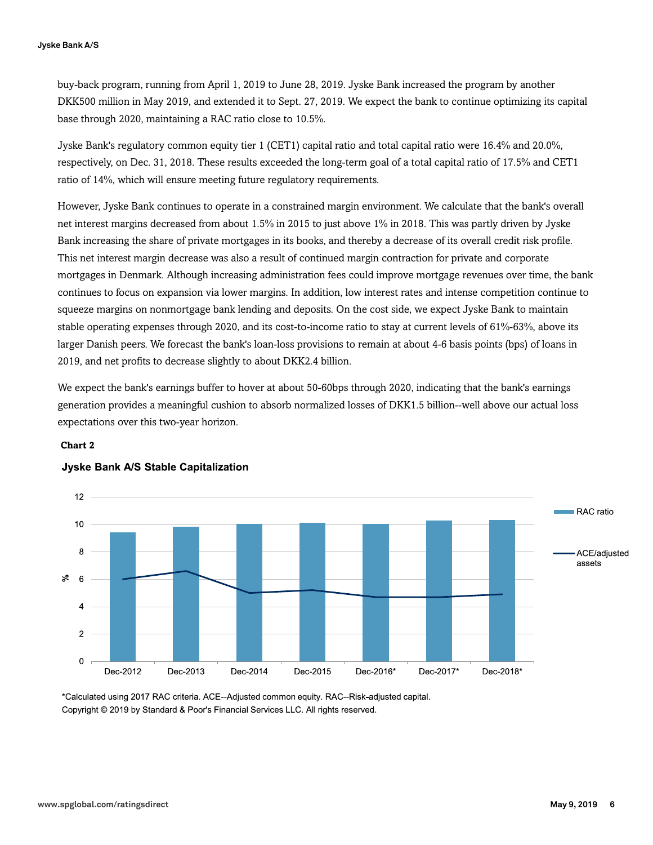buy-back program, running from April 1, 2019 to June 28, 2019. Jyske Bank increased the program by another DKK500 million in May 2019, and extended it to Sept. 27, 2019. We expect the bank to continue optimizing its capital base through 2020, maintaining a RAC ratio close to 10.5%.

Jyske Bank's regulatory common equity tier 1 (CET1) capital ratio and total capital ratio were 16.4% and 20.0%, respectively, on Dec. 31, 2018. These results exceeded the long-term goal of a total capital ratio of 17.5% and CET1 ratio of 14%, which will ensure meeting future regulatory requirements.

However, Jyske Bank continues to operate in a constrained margin environment. We calculate that the bank's overall net interest margins decreased from about 1.5% in 2015 to just above 1% in 2018. This was partly driven by Jyske Bank increasing the share of private mortgages in its books, and thereby a decrease of its overall credit risk profile. This net interest margin decrease was also a result of continued margin contraction for private and corporate mortgages in Denmark. Although increasing administration fees could improve mortgage revenues over time, the bank continues to focus on expansion via lower margins. In addition, low interest rates and intense competition continue to squeeze margins on nonmortgage bank lending and deposits. On the cost side, we expect Jyske Bank to maintain stable operating expenses through 2020, and its cost-to-income ratio to stay at current levels of 61%-63%, above its larger Danish peers. We forecast the bank's loan-loss provisions to remain at about 4-6 basis points (bps) of loans in 2019, and net profits to decrease slightly to about DKK2.4 billion.

We expect the bank's earnings buffer to hover at about 50-60bps through 2020, indicating that the bank's earnings generation provides a meaningful cushion to absorb normalized losses of DKK1.5 billion--well above our actual loss expectations over this two-year horizon.

#### **Chart 2**



#### **Jyske Bank A/S Stable Capitalization**

\*Calculated using 2017 RAC criteria. ACE--Adjusted common equity. RAC--Risk-adjusted capital. Copyright © 2019 by Standard & Poor's Financial Services LLC. All rights reserved.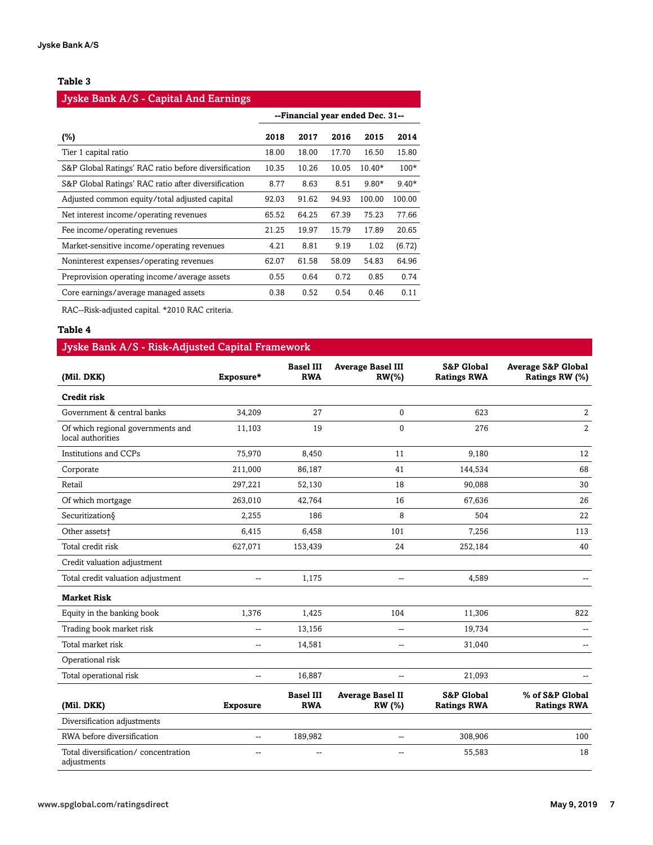## **Table 3**

| Jyske Bank A/S - Capital And Earnings                |       |                                  |       |          |         |
|------------------------------------------------------|-------|----------------------------------|-------|----------|---------|
|                                                      |       | --Financial year ended Dec. 31-- |       |          |         |
| (%)                                                  | 2018  | 2017                             | 2016  | 2015     | 2014    |
| Tier 1 capital ratio                                 | 18.00 | 18.00                            | 17.70 | 16.50    | 15.80   |
| S&P Global Ratings' RAC ratio before diversification | 10.35 | 10.26                            | 10.05 | $10.40*$ | $100*$  |
| S&P Global Ratings' RAC ratio after diversification  | 8.77  | 8.63                             | 8.51  | $9.80*$  | $9.40*$ |
| Adjusted common equity/total adjusted capital        | 92.03 | 91.62                            | 94.93 | 100.00   | 100.00  |
| Net interest income/operating revenues               | 65.52 | 64.25                            | 67.39 | 75.23    | 77.66   |
| Fee income/operating revenues                        | 21.25 | 19.97                            | 15.79 | 17.89    | 20.65   |
| Market-sensitive income/operating revenues           | 4.21  | 8.81                             | 9.19  | 1.02     | (6.72)  |
| Noninterest expenses/operating revenues              | 62.07 | 61.58                            | 58.09 | 54.83    | 64.96   |
| Preprovision operating income/average assets         | 0.55  | 0.64                             | 0.72  | 0.85     | 0.74    |
| Core earnings/average managed assets                 | 0.38  | 0.52                             | 0.54  | 0.46     | 0.11    |

RAC--Risk-adjusted capital. \*2010 RAC criteria.

#### **Table 4**

# Jyske Bank A/S - Risk-Adjusted Capital Framework

| (Mil. DKK)                                             | Exposure*                | <b>Basel III</b><br><b>RWA</b> | <b>Average Basel III</b><br>$RW(\% )$    | <b>S&amp;P Global</b><br><b>Ratings RWA</b> | <b>Average S&amp;P Global</b><br>Ratings RW (%) |
|--------------------------------------------------------|--------------------------|--------------------------------|------------------------------------------|---------------------------------------------|-------------------------------------------------|
| <b>Credit risk</b>                                     |                          |                                |                                          |                                             |                                                 |
| Government & central banks                             | 34,209                   | 27                             | $\mathbf{0}$                             | 623                                         | 2                                               |
| Of which regional governments and<br>local authorities | 11,103                   | 19                             | $\mathbf 0$                              | 276                                         | $\overline{2}$                                  |
| <b>Institutions and CCPs</b>                           | 75,970                   | 8,450                          | 11                                       | 9,180                                       | 12                                              |
| Corporate                                              | 211,000                  | 86,187                         | 41                                       | 144,534                                     | 68                                              |
| Retail                                                 | 297,221                  | 52,130                         | 18                                       | 90,088                                      | 30                                              |
| Of which mortgage                                      | 263,010                  | 42,764                         | 16                                       | 67,636                                      | 26                                              |
| Securitization§                                        | 2,255                    | 186                            | 8                                        | 504                                         | 22                                              |
| Other assets <sup>+</sup>                              | 6,415                    | 6,458                          | 101                                      | 7,256                                       | 113                                             |
| Total credit risk                                      | 627,071                  | 153,439                        | 24                                       | 252,184                                     | 40                                              |
| Credit valuation adjustment                            |                          |                                |                                          |                                             |                                                 |
| Total credit valuation adjustment                      | --                       | 1,175                          | --                                       | 4,589                                       |                                                 |
| <b>Market Risk</b>                                     |                          |                                |                                          |                                             |                                                 |
| Equity in the banking book                             | 1,376                    | 1,425                          | 104                                      | 11,306                                      | 822                                             |
| Trading book market risk                               | $\sim$                   | 13,156                         | $\sim$                                   | 19,734                                      |                                                 |
| Total market risk                                      | $\overline{\phantom{a}}$ | 14,581                         | $\overline{a}$                           | 31,040                                      |                                                 |
| Operational risk                                       |                          |                                |                                          |                                             |                                                 |
| Total operational risk                                 | $\sim$                   | 16,887                         | $\sim$                                   | 21,093                                      |                                                 |
| (Mil. DKK)                                             | <b>Exposure</b>          | <b>Basel III</b><br><b>RWA</b> | <b>Average Basel II</b><br><b>RW</b> (%) | <b>S&amp;P Global</b><br><b>Ratings RWA</b> | % of S&P Global<br><b>Ratings RWA</b>           |
| Diversification adjustments                            |                          |                                |                                          |                                             |                                                 |
| RWA before diversification                             | $\overline{\phantom{a}}$ | 189,982                        | --                                       | 308,906                                     | 100                                             |
| Total diversification/concentration<br>adjustments     |                          | --                             | $-$                                      | 55,583                                      | 18                                              |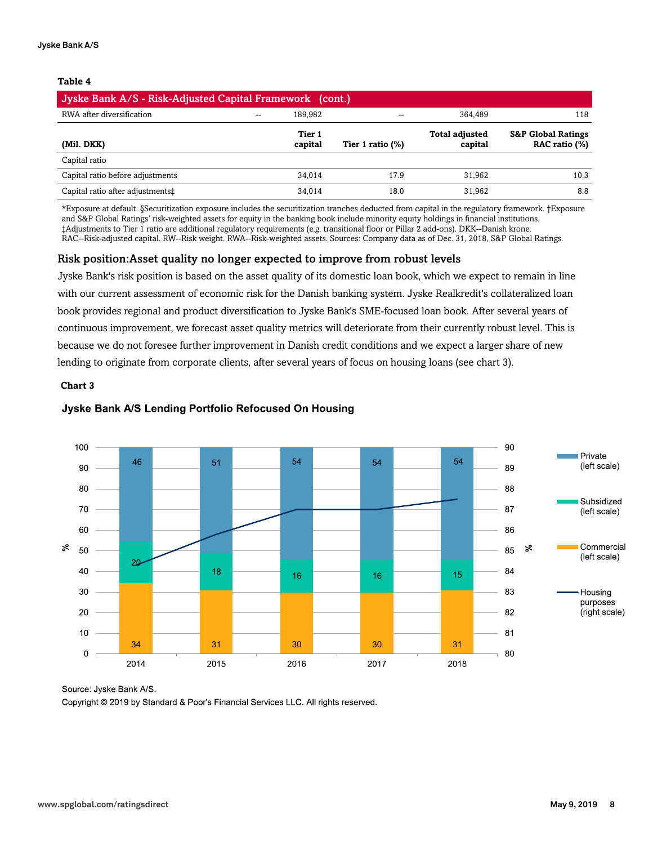#### **Table 4**

| Jyske Bank $A/\overline{S}$ - Risk-Adjusted Capital Framework (cont.) |         |                   |                     |                                  |                                                |  |  |  |
|-----------------------------------------------------------------------|---------|-------------------|---------------------|----------------------------------|------------------------------------------------|--|--|--|
| RWA after diversification                                             | 189.982 |                   | 364.489             | 118                              |                                                |  |  |  |
| (Mil. DKK)                                                            |         | Tier 1<br>capital | Tier 1 ratio $(\%)$ | <b>Total adjusted</b><br>capital | <b>S&amp;P Global Ratings</b><br>RAC ratio (%) |  |  |  |
| Capital ratio                                                         |         |                   |                     |                                  |                                                |  |  |  |
| Capital ratio before adjustments                                      |         | 34.014            | 17.9                | 31.962                           | 10.3                                           |  |  |  |
| Capital ratio after adjustments <sup>+</sup>                          |         | 34.014            | 18.0                | 31.962                           | 8.8                                            |  |  |  |

\*Exposure at default. §Securitization exposure includes the securitization tranches deducted from capital in the regulatory framework. †Exposure and S&P Global Ratings' risk-weighted assets for equity in the banking book include minority equity holdings in financial institutions. ‡Adjustments to Tier 1 ratio are additional regulatory requirements (e.g. transitional floor or Pillar 2 add-ons). DKK--Danish krone. RAC--Risk-adjusted capital. RW--Risk weight. RWA--Risk-weighted assets. Sources: Company data as of Dec. 31, 2018, S&P Global Ratings.

## Risk position:Asset quality no longer expected to improve from robust levels

Jyske Bank's risk position is based on the asset quality of its domestic loan book, which we expect to remain in line with our current assessment of economic risk for the Danish banking system. Jyske Realkredit's collateralized loan book provides regional and product diversification to Jyske Bank's SME-focused loan book. After several years of continuous improvement, we forecast asset quality metrics will deteriorate from their currently robust level. This is because we do not foresee further improvement in Danish credit conditions and we expect a larger share of new lending to originate from corporate clients, after several years of focus on housing loans (see chart 3).

#### **Chart 3**



## Jyske Bank A/S Lending Portfolio Refocused On Housing

Source: Jyske Bank A/S. Copyright © 2019 by Standard & Poor's Financial Services LLC. All rights reserved.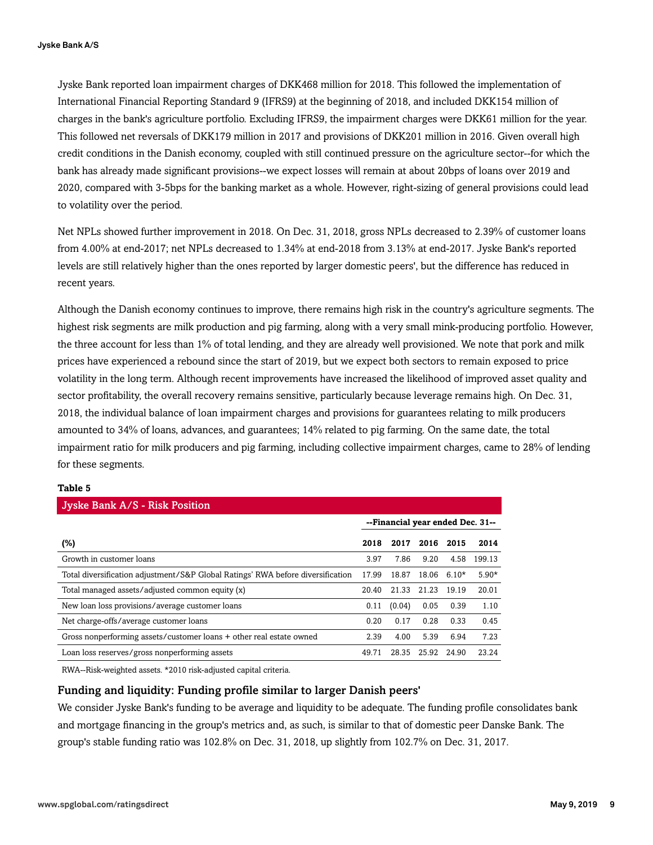Jyske Bank reported loan impairment charges of DKK468 million for 2018. This followed the implementation of International Financial Reporting Standard 9 (IFRS9) at the beginning of 2018, and included DKK154 million of charges in the bank's agriculture portfolio. Excluding IFRS9, the impairment charges were DKK61 million for the year. This followed net reversals of DKK179 million in 2017 and provisions of DKK201 million in 2016. Given overall high credit conditions in the Danish economy, coupled with still continued pressure on the agriculture sector--for which the bank has already made significant provisions--we expect losses will remain at about 20bps of loans over 2019 and 2020, compared with 3-5bps for the banking market as a whole. However, right-sizing of general provisions could lead to volatility over the period.

Net NPLs showed further improvement in 2018. On Dec. 31, 2018, gross NPLs decreased to 2.39% of customer loans from 4.00% at end-2017; net NPLs decreased to 1.34% at end-2018 from 3.13% at end-2017. Jyske Bank's reported levels are still relatively higher than the ones reported by larger domestic peers', but the difference has reduced in recent years.

Although the Danish economy continues to improve, there remains high risk in the country's agriculture segments. The highest risk segments are milk production and pig farming, along with a very small mink-producing portfolio. However, the three account for less than 1% of total lending, and they are already well provisioned. We note that pork and milk prices have experienced a rebound since the start of 2019, but we expect both sectors to remain exposed to price volatility in the long term. Although recent improvements have increased the likelihood of improved asset quality and sector profitability, the overall recovery remains sensitive, particularly because leverage remains high. On Dec. 31, 2018, the individual balance of loan impairment charges and provisions for guarantees relating to milk producers amounted to 34% of loans, advances, and guarantees; 14% related to pig farming. On the same date, the total impairment ratio for milk producers and pig farming, including collective impairment charges, came to 28% of lending for these segments.

### **Table 5**

| Jyske Bank A/S - Risk Position                                                  |       |                                  |       |         |         |
|---------------------------------------------------------------------------------|-------|----------------------------------|-------|---------|---------|
|                                                                                 |       | --Financial year ended Dec. 31-- |       |         |         |
| $(\%)$                                                                          | 2018  | 2017                             | 2016  | 2015    | 2014    |
| Growth in customer loans                                                        | 3.97  | 7.86                             | 9.20  | 4.58    | 199.13  |
| Total diversification adjustment/S&P Global Ratings' RWA before diversification | 17.99 | 18.87                            | 18.06 | $6.10*$ | $5.90*$ |
| Total managed assets/adjusted common equity (x)                                 | 20.40 | 21.33                            | 21.23 | 19.19   | 20.01   |
| New loan loss provisions/average customer loans                                 | 0.11  | (0.04)                           | 0.05  | 0.39    | 1.10    |
| Net charge-offs/average customer loans                                          | 0.20  | 0.17                             | 0.28  | 0.33    | 0.45    |
| Gross nonperforming assets/customer loans + other real estate owned             | 2.39  | 4.00                             | 5.39  | 6.94    | 7.23    |
| Loan loss reserves/gross nonperforming assets                                   | 49.71 | 28.35                            | 25.92 | 24.90   | 23.24   |

RWA--Risk-weighted assets. \*2010 risk-adjusted capital criteria.

#### Funding and liquidity: Funding profile similar to larger Danish peers'

We consider Jyske Bank's funding to be average and liquidity to be adequate. The funding profile consolidates bank and mortgage financing in the group's metrics and, as such, is similar to that of domestic peer Danske Bank. The group's stable funding ratio was 102.8% on Dec. 31, 2018, up slightly from 102.7% on Dec. 31, 2017.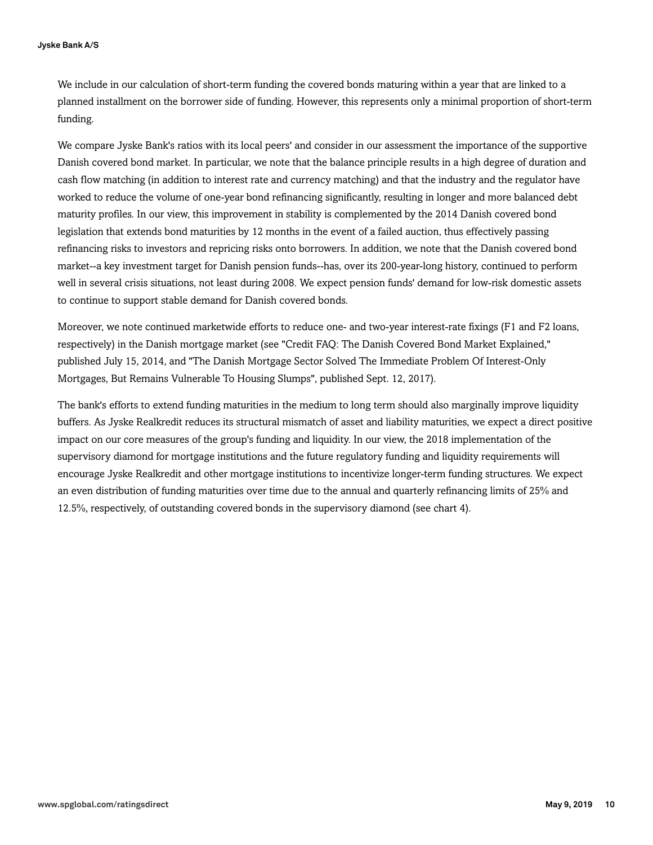We include in our calculation of short-term funding the covered bonds maturing within a year that are linked to a planned installment on the borrower side of funding. However, this represents only a minimal proportion of short-term funding.

We compare Jyske Bank's ratios with its local peers' and consider in our assessment the importance of the supportive Danish covered bond market. In particular, we note that the balance principle results in a high degree of duration and cash flow matching (in addition to interest rate and currency matching) and that the industry and the regulator have worked to reduce the volume of one-year bond refinancing significantly, resulting in longer and more balanced debt maturity profiles. In our view, this improvement in stability is complemented by the 2014 Danish covered bond legislation that extends bond maturities by 12 months in the event of a failed auction, thus effectively passing refinancing risks to investors and repricing risks onto borrowers. In addition, we note that the Danish covered bond market--a key investment target for Danish pension funds--has, over its 200-year-long history, continued to perform well in several crisis situations, not least during 2008. We expect pension funds' demand for low-risk domestic assets to continue to support stable demand for Danish covered bonds.

Moreover, we note continued marketwide efforts to reduce one- and two-year interest-rate fixings (F1 and F2 loans, respectively) in the Danish mortgage market (see "Credit FAQ: The Danish Covered Bond Market Explained," published July 15, 2014, and "The Danish Mortgage Sector Solved The Immediate Problem Of Interest-Only Mortgages, But Remains Vulnerable To Housing Slumps", published Sept. 12, 2017).

The bank's efforts to extend funding maturities in the medium to long term should also marginally improve liquidity buffers. As Jyske Realkredit reduces its structural mismatch of asset and liability maturities, we expect a direct positive impact on our core measures of the group's funding and liquidity. In our view, the 2018 implementation of the supervisory diamond for mortgage institutions and the future regulatory funding and liquidity requirements will encourage Jyske Realkredit and other mortgage institutions to incentivize longer-term funding structures. We expect an even distribution of funding maturities over time due to the annual and quarterly refinancing limits of 25% and 12.5%, respectively, of outstanding covered bonds in the supervisory diamond (see chart 4).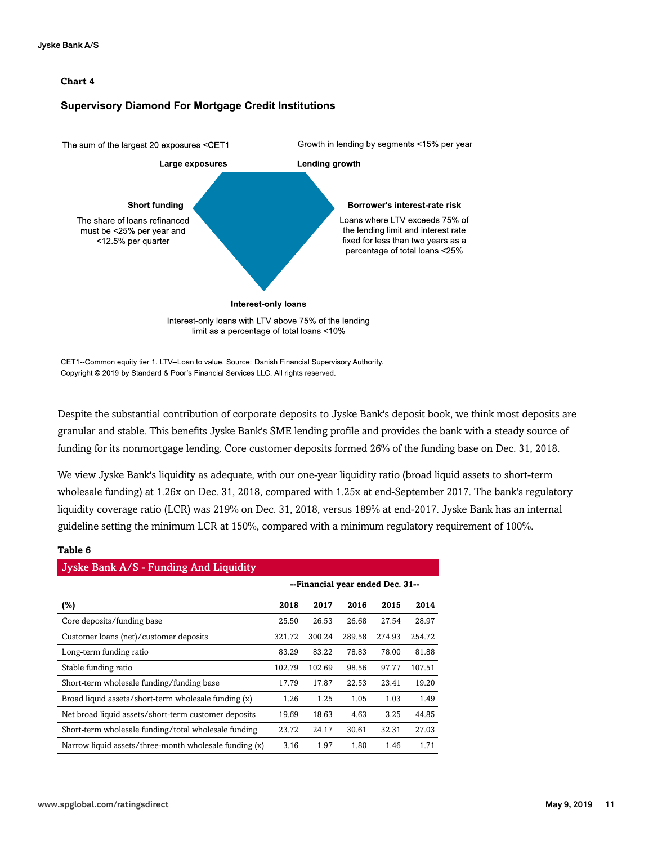#### **Chart 4**

# **Supervisory Diamond For Mortgage Credit Institutions**



CET1--Common equity tier 1. LTV--Loan to value. Source: Danish Financial Supervisory Authority. Copyright © 2019 by Standard & Poor's Financial Services LLC. All rights reserved.

Despite the substantial contribution of corporate deposits to Jyske Bank's deposit book, we think most deposits are granular and stable. This benefits Jyske Bank's SME lending profile and provides the bank with a steady source of funding for its nonmortgage lending. Core customer deposits formed 26% of the funding base on Dec. 31, 2018.

We view Jyske Bank's liquidity as adequate, with our one-year liquidity ratio (broad liquid assets to short-term wholesale funding) at 1.26x on Dec. 31, 2018, compared with 1.25x at end-September 2017. The bank's regulatory liquidity coverage ratio (LCR) was 219% on Dec. 31, 2018, versus 189% at end-2017. Jyske Bank has an internal guideline setting the minimum LCR at 150%, compared with a minimum regulatory requirement of 100%.

#### **Table 6**

| Jyske Bank A/S - Funding And Liquidity                 |                                  |        |        |        |        |  |
|--------------------------------------------------------|----------------------------------|--------|--------|--------|--------|--|
|                                                        | --Financial year ended Dec. 31-- |        |        |        |        |  |
| $(\%)$                                                 | 2018                             | 2017   | 2016   | 2015   | 2014   |  |
| Core deposits/funding base                             | 25.50                            | 26.53  | 26.68  | 27.54  | 28.97  |  |
| Customer loans (net)/customer deposits                 | 321.72                           | 300.24 | 289.58 | 274.93 | 254.72 |  |
| Long-term funding ratio                                | 83.29                            | 83.22  | 78.83  | 78.00  | 81.88  |  |
| Stable funding ratio                                   | 102.79                           | 102.69 | 98.56  | 97.77  | 107.51 |  |
| Short-term wholesale funding/funding base              | 17.79                            | 17.87  | 22.53  | 23.41  | 19.20  |  |
| Broad liquid assets/short-term wholesale funding (x)   | 1.26                             | 1.25   | 1.05   | 1.03   | 1.49   |  |
| Net broad liquid assets/short-term customer deposits   | 19.69                            | 18.63  | 4.63   | 3.25   | 44.85  |  |
| Short-term wholesale funding/total wholesale funding   | 23.72                            | 24.17  | 30.61  | 32.31  | 27.03  |  |
| Narrow liquid assets/three-month wholesale funding (x) | 3.16                             | 1.97   | 1.80   | 1.46   | 1.71   |  |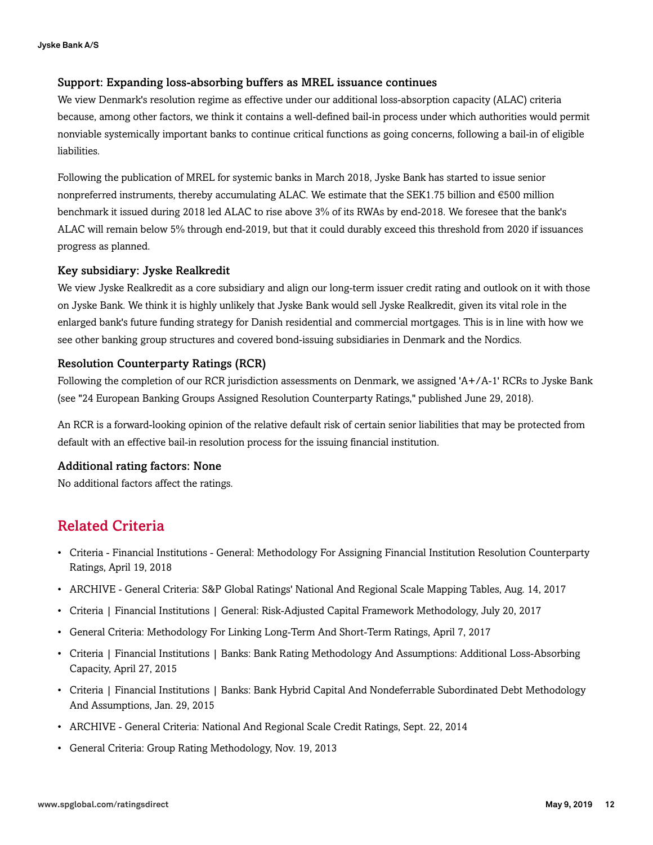## Support: Expanding loss-absorbing buffers as MREL issuance continues

We view Denmark's resolution regime as effective under our additional loss-absorption capacity (ALAC) criteria because, among other factors, we think it contains a well-defined bail-in process under which authorities would permit nonviable systemically important banks to continue critical functions as going concerns, following a bail-in of eligible liabilities.

Following the publication of MREL for systemic banks in March 2018, Jyske Bank has started to issue senior nonpreferred instruments, thereby accumulating ALAC. We estimate that the SEK1.75 billion and €500 million benchmark it issued during 2018 led ALAC to rise above 3% of its RWAs by end-2018. We foresee that the bank's ALAC will remain below 5% through end-2019, but that it could durably exceed this threshold from 2020 if issuances progress as planned.

### Key subsidiary: Jyske Realkredit

We view Jyske Realkredit as a core subsidiary and align our long-term issuer credit rating and outlook on it with those on Jyske Bank. We think it is highly unlikely that Jyske Bank would sell Jyske Realkredit, given its vital role in the enlarged bank's future funding strategy for Danish residential and commercial mortgages. This is in line with how we see other banking group structures and covered bond-issuing subsidiaries in Denmark and the Nordics.

# Resolution Counterparty Ratings (RCR)

Following the completion of our RCR jurisdiction assessments on Denmark, we assigned 'A+/A-1' RCRs to Jyske Bank (see "24 European Banking Groups Assigned Resolution Counterparty Ratings," published June 29, 2018).

An RCR is a forward-looking opinion of the relative default risk of certain senior liabilities that may be protected from default with an effective bail-in resolution process for the issuing financial institution.

#### Additional rating factors: None

<span id="page-11-0"></span>No additional factors affect the ratings.

# Related Criteria

- Criteria Financial Institutions General: Methodology For Assigning Financial Institution Resolution Counterparty Ratings, April 19, 2018
- ARCHIVE General Criteria: S&P Global Ratings' National And Regional Scale Mapping Tables, Aug. 14, 2017
- Criteria | Financial Institutions | General: Risk-Adjusted Capital Framework Methodology, July 20, 2017
- General Criteria: Methodology For Linking Long-Term And Short-Term Ratings, April 7, 2017
- Criteria | Financial Institutions | Banks: Bank Rating Methodology And Assumptions: Additional Loss-Absorbing Capacity, April 27, 2015
- Criteria | Financial Institutions | Banks: Bank Hybrid Capital And Nondeferrable Subordinated Debt Methodology And Assumptions, Jan. 29, 2015
- ARCHIVE General Criteria: National And Regional Scale Credit Ratings, Sept. 22, 2014
- General Criteria: Group Rating Methodology, Nov. 19, 2013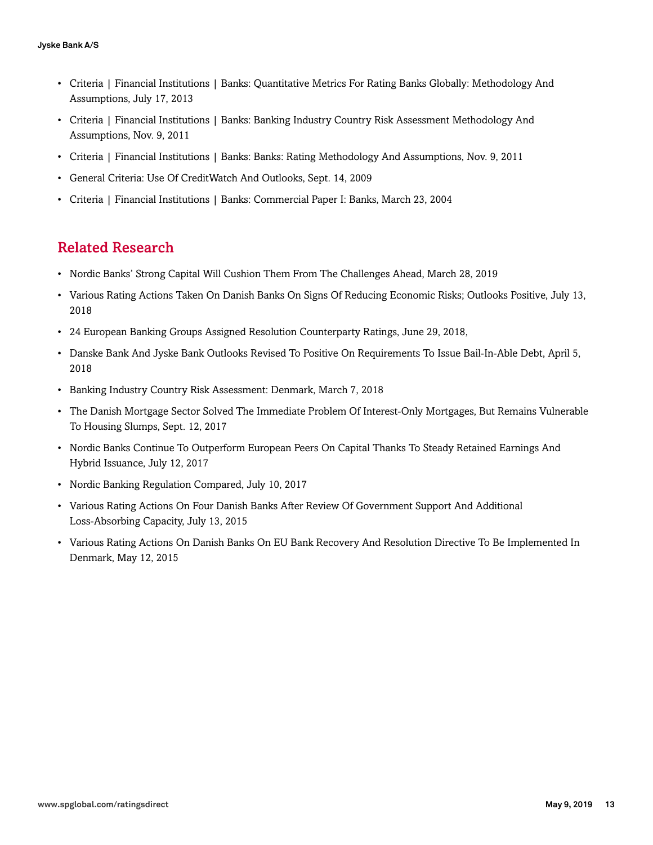- Criteria | Financial Institutions | Banks: Quantitative Metrics For Rating Banks Globally: Methodology And Assumptions, July 17, 2013
- Criteria | Financial Institutions | Banks: Banking Industry Country Risk Assessment Methodology And Assumptions, Nov. 9, 2011
- Criteria | Financial Institutions | Banks: Banks: Rating Methodology And Assumptions, Nov. 9, 2011
- General Criteria: Use Of CreditWatch And Outlooks, Sept. 14, 2009
- Criteria | Financial Institutions | Banks: Commercial Paper I: Banks, March 23, 2004

# <span id="page-12-0"></span>Related Research

- Nordic Banks' Strong Capital Will Cushion Them From The Challenges Ahead, March 28, 2019
- Various Rating Actions Taken On Danish Banks On Signs Of Reducing Economic Risks; Outlooks Positive, July 13, 2018
- 24 European Banking Groups Assigned Resolution Counterparty Ratings, June 29, 2018,
- Danske Bank And Jyske Bank Outlooks Revised To Positive On Requirements To Issue Bail-In-Able Debt, April 5, 2018
- Banking Industry Country Risk Assessment: Denmark, March 7, 2018
- The Danish Mortgage Sector Solved The Immediate Problem Of Interest-Only Mortgages, But Remains Vulnerable To Housing Slumps, Sept. 12, 2017
- Nordic Banks Continue To Outperform European Peers On Capital Thanks To Steady Retained Earnings And Hybrid Issuance, July 12, 2017
- Nordic Banking Regulation Compared, July 10, 2017
- Various Rating Actions On Four Danish Banks After Review Of Government Support And Additional Loss-Absorbing Capacity, July 13, 2015
- Various Rating Actions On Danish Banks On EU Bank Recovery And Resolution Directive To Be Implemented In Denmark, May 12, 2015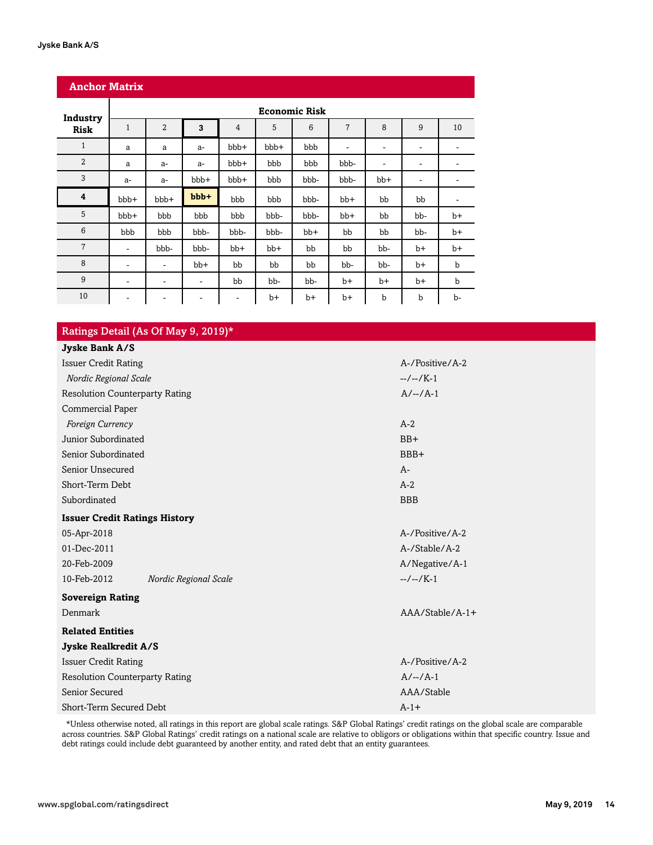| <b>Anchor Matrix</b> |                          |                |                          |                |       |       |                |                          |                          |             |
|----------------------|--------------------------|----------------|--------------------------|----------------|-------|-------|----------------|--------------------------|--------------------------|-------------|
| Industry             | <b>Economic Risk</b>     |                |                          |                |       |       |                |                          |                          |             |
| <b>Risk</b>          | $\mathbf{1}$             | $\overline{2}$ | 3                        | $\overline{4}$ | 5     | 6     | $\overline{7}$ | 8                        | 9                        | 10          |
| $\mathbf{1}$         | a                        | a              | $a-$                     | bbb+           | bbb+  | bbb   | -              | ۰                        | $\overline{\phantom{a}}$ |             |
| 2                    | a                        | $a-$           | $a-$                     | bbb+           | bbb   | bbb   | bbb-           | $\overline{\phantom{a}}$ | $\overline{\phantom{a}}$ | ٠           |
| 3                    | $a-$                     | $a-$           | bbb+                     | bbb+           | bbb   | bbb-  | bbb-           | bb+                      | $\overline{\phantom{a}}$ | -           |
| 4                    | bbb+                     | bbb+           | $bbb +$                  | bbb            | bbb   | bbb-  | $bb+$          | bb                       | bb                       | ۰           |
| 5                    | bbb+                     | bbb            | bbb                      | bbb            | bbb-  | bbb-  | bb+            | bb                       | bb-                      | $b+$        |
| 6                    | bbb                      | bbb            | bbb-                     | bbb-           | bbb-  | $bb+$ | bb             | bb                       | bb-                      | $b+$        |
| 7                    | $\overline{\phantom{a}}$ | bbb-           | bbb-                     | $bb+$          | $bb+$ | bb    | bb             | bb-                      | b+                       | $b+$        |
| 8                    | $\overline{\phantom{a}}$ | ۰              | $bb+$                    | bb             | bb    | bb    | bb-            | bb-                      | $b+$                     | $\mathbf b$ |
| 9                    | ۰                        | ٠              | $\overline{\phantom{a}}$ | bb             | bb-   | bb-   | $b+$           | $b+$                     | b+                       | $\mathbf b$ |
| 10                   | ۰                        | ۰              | $\overline{\phantom{a}}$ | ۰              | $b+$  | b+    | b+             | b                        | b                        | b-          |

# Ratings Detail (As Of May 9, 2019)\*

| Jyske Bank A/S                        |                 |  |  |  |
|---------------------------------------|-----------------|--|--|--|
| <b>Issuer Credit Rating</b>           | A-/Positive/A-2 |  |  |  |
| Nordic Regional Scale                 | $-/-/K-1$       |  |  |  |
| <b>Resolution Counterparty Rating</b> | $A/-/A-1$       |  |  |  |
| Commercial Paper                      |                 |  |  |  |
| Foreign Currency                      | $A-2$           |  |  |  |
| Junior Subordinated                   | $BB+$           |  |  |  |
| Senior Subordinated                   | BBB+            |  |  |  |
| Senior Unsecured                      | $A-$            |  |  |  |
| Short-Term Debt                       | $A-2$           |  |  |  |
| Subordinated                          | <b>BBB</b>      |  |  |  |
| <b>Issuer Credit Ratings History</b>  |                 |  |  |  |
| 05-Apr-2018                           | A-/Positive/A-2 |  |  |  |
| 01-Dec-2011                           | A-/Stable/A-2   |  |  |  |
| 20-Feb-2009                           | A/Negative/A-1  |  |  |  |
| 10-Feb-2012<br>Nordic Regional Scale  | $-/-/K-1$       |  |  |  |
| <b>Sovereign Rating</b>               |                 |  |  |  |
| Denmark                               | AAA/Stable/A-1+ |  |  |  |
| <b>Related Entities</b>               |                 |  |  |  |
| Jyske Realkredit A/S                  |                 |  |  |  |
| <b>Issuer Credit Rating</b>           | A-/Positive/A-2 |  |  |  |
| <b>Resolution Counterparty Rating</b> | $A/-/A-1$       |  |  |  |
| Senior Secured                        | AAA/Stable      |  |  |  |
| Short-Term Secured Debt               | $A-1+$          |  |  |  |

\*Unless otherwise noted, all ratings in this report are global scale ratings. S&P Global Ratings' credit ratings on the global scale are comparable across countries. S&P Global Ratings' credit ratings on a national scale are relative to obligors or obligations within that specific country. Issue and debt ratings could include debt guaranteed by another entity, and rated debt that an entity guarantees.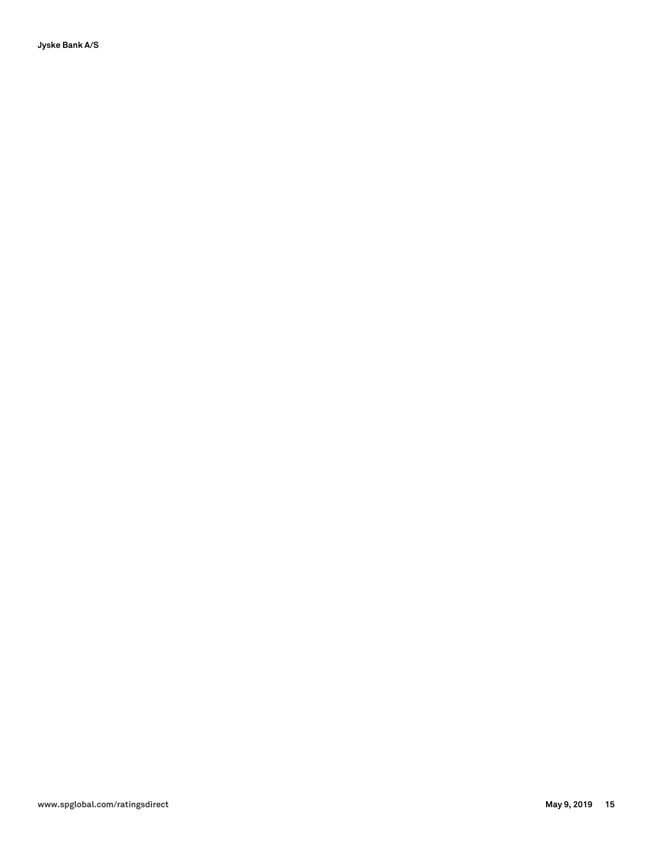**Jyske Bank A/S**